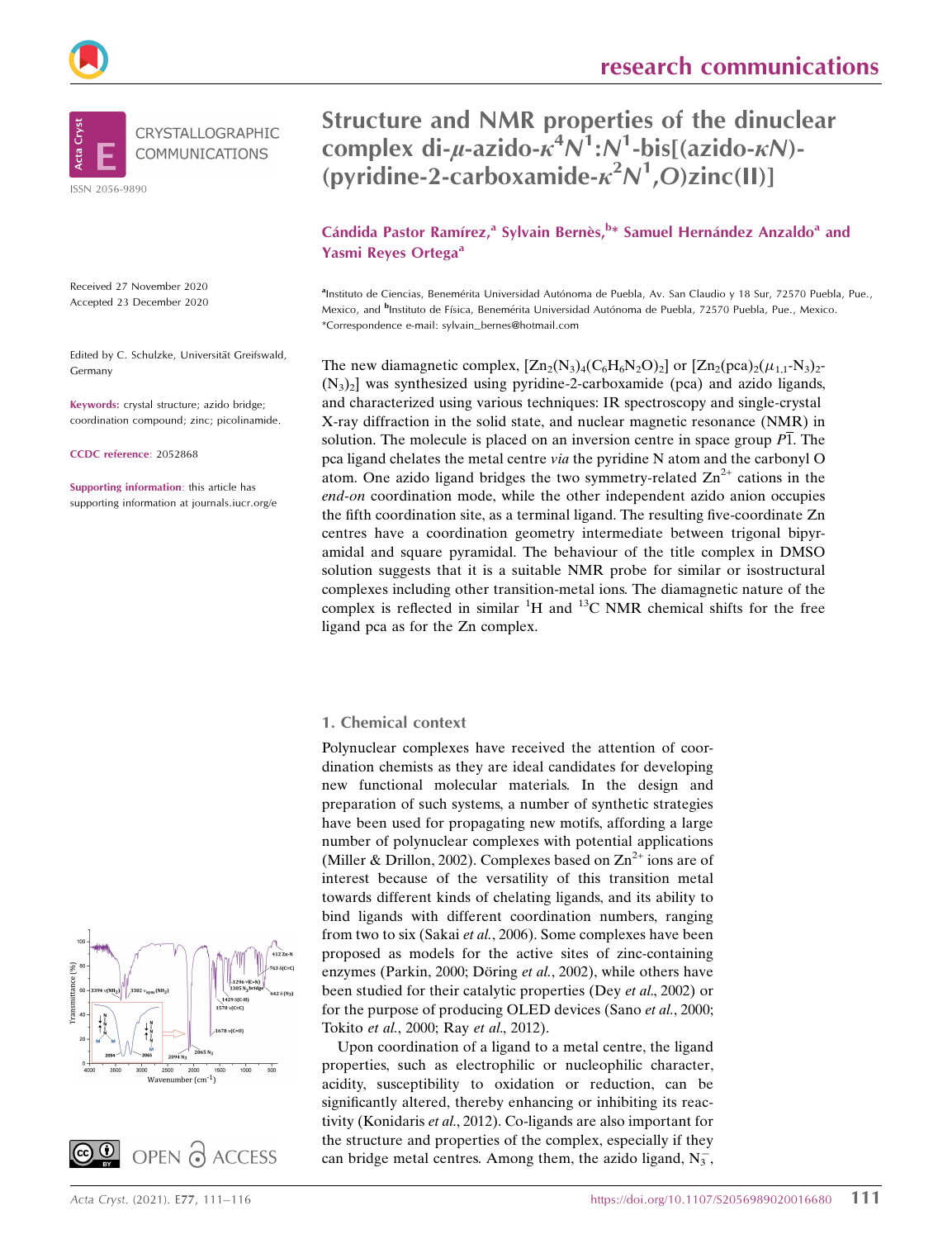

**Cta** 

CRYSTALLOGRAPHIC **COMMUNICATIONS** 

ISSN 2056-9890

Received 27 November 2020 Accepted 23 December 2020

Edited by C. Schulzke, Universität Greifswald, Germany

Keywords: crystal structure; azido bridge; coordination compound; zinc; picolinamide.

CCDC reference: 2052868

Supporting information: this article has supporting information at journals.iucr.org/e Structure and NMR properties of the dinuclear complex di- $\mu$ -azido- $\kappa^4 N^1$ : $N^1$ -bis[(azido- $\kappa N$ )-(pyridine-2-carboxamide- $\kappa^2 N^1$ ,O)zinc(II)]

Cándida Pastor Ramírez,<sup>a</sup> Sylvain Bernès, <sup>b\*</sup> Samuel Hernández Anzaldo<sup>a</sup> and Yasmi Reyes Ortega<sup>a</sup>

alnstituto de Ciencias, Benemérita Universidad Autónoma de Puebla, Av. San Claudio y 18 Sur, 72570 Puebla, Pue., Mexico, and <sup>b</sup>Instituto de Física, Benemérita Universidad Autónoma de Puebla, 72570 Puebla, Pue., Mexico. \*Correspondence e-mail: sylvain\_bernes@hotmail.com

The new diamagnetic complex,  $[Zn_2(N_3)_4(C_6H_6N_2O)_2]$  or  $[Zn_2(pca)_2(\mu_{1,1}-N_3)_2$ - $(N_3)$ <sup>2</sup>] was synthesized using pyridine-2-carboxamide (pca) and azido ligands, and characterized using various techniques: IR spectroscopy and single-crystal X-ray diffraction in the solid state, and nuclear magnetic resonance (NMR) in solution. The molecule is placed on an inversion centre in space group  $\overline{P1}$ . The pca ligand chelates the metal centre via the pyridine N atom and the carbonyl O atom. One azido ligand bridges the two symmetry-related  $\text{Zn}^{2+}$  cations in the end-on coordination mode, while the other independent azido anion occupies the fifth coordination site, as a terminal ligand. The resulting five-coordinate Zn centres have a coordination geometry intermediate between trigonal bipyramidal and square pyramidal. The behaviour of the title complex in DMSO solution suggests that it is a suitable NMR probe for similar or isostructural complexes including other transition-metal ions. The diamagnetic nature of the complex is reflected in similar  ${}^{1}H$  and  ${}^{13}C$  NMR chemical shifts for the free ligand pca as for the Zn complex.

## 1. Chemical context

Polynuclear complexes have received the attention of coordination chemists as they are ideal candidates for developing new functional molecular materials. In the design and preparation of such systems, a number of synthetic strategies have been used for propagating new motifs, affording a large number of polynuclear complexes with potential applications (Miller & Drillon, 2002). Complexes based on  $\text{Zn}^{2+}$  ions are of interest because of the versatility of this transition metal towards different kinds of chelating ligands, and its ability to bind ligands with different coordination numbers, ranging from two to six (Sakai et al., 2006). Some complexes have been proposed as models for the active sites of zinc-containing enzymes (Parkin, 2000; Döring et al., 2002), while others have been studied for their catalytic properties (Dey et al., 2002) or for the purpose of producing OLED devices (Sano et al., 2000; Tokito et al., 2000; Ray et al., 2012).

Upon coordination of a ligand to a metal centre, the ligand properties, such as electrophilic or nucleophilic character, acidity, susceptibility to oxidation or reduction, can be significantly altered, thereby enhancing or inhibiting its reactivity (Konidaris et al., 2012). Co-ligands are also important for the structure and properties of the complex, especially if they can bridge metal centres. Among them, the azido ligand,  $N_3^-$ ,



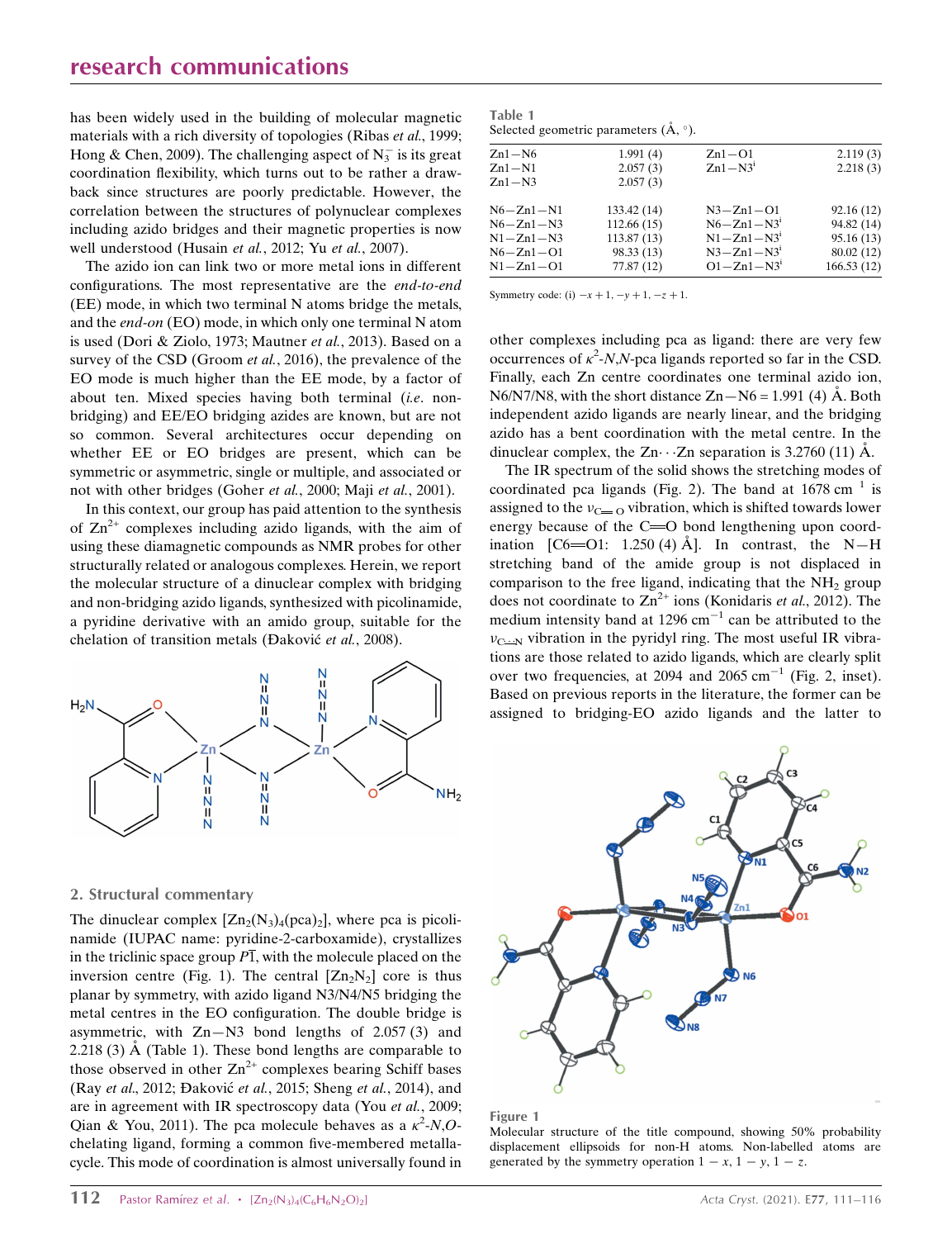# research communications

has been widely used in the building of molecular magnetic materials with a rich diversity of topologies (Ribas *et al.*, 1999; Hong & Chen, 2009). The challenging aspect of  $N_3^-$  is its great coordination flexibility, which turns out to be rather a drawback since structures are poorly predictable. However, the correlation between the structures of polynuclear complexes including azido bridges and their magnetic properties is now well understood (Husain et al., 2012; Yu et al., 2007).

The azido ion can link two or more metal ions in different configurations. The most representative are the end-to-end (EE) mode, in which two terminal N atoms bridge the metals, and the end-on (EO) mode, in which only one terminal N atom is used (Dori & Ziolo, 1973; Mautner et al., 2013). Based on a survey of the CSD (Groom *et al.*, 2016), the prevalence of the EO mode is much higher than the EE mode, by a factor of about ten. Mixed species having both terminal (i.e. nonbridging) and EE/EO bridging azides are known, but are not so common. Several architectures occur depending on whether EE or EO bridges are present, which can be symmetric or asymmetric, single or multiple, and associated or not with other bridges (Goher et al., 2000; Maji et al., 2001).

In this context, our group has paid attention to the synthesis of  $\text{Zn}^{2+}$  complexes including azido ligands, with the aim of using these diamagnetic compounds as NMR probes for other structurally related or analogous complexes. Herein, we report the molecular structure of a dinuclear complex with bridging and non-bridging azido ligands, synthesized with picolinamide, a pyridine derivative with an amido group, suitable for the chelation of transition metals (Đaković et al., 2008).



### 2. Structural commentary

The dinuclear complex  $[Zn_2(N_3)_4(pca)_2]$ , where pca is picolinamide (IUPAC name: pyridine-2-carboxamide), crystallizes in the triclinic space group  $\overline{P1}$ , with the molecule placed on the inversion centre (Fig. 1). The central  $[Zn_2N_2]$  core is thus planar by symmetry, with azido ligand N3/N4/N5 bridging the metal centres in the EO configuration. The double bridge is asymmetric, with  $Zn-N3$  bond lengths of 2.057 (3) and 2.218 (3)  $\AA$  (Table 1). These bond lengths are comparable to those observed in other  $Zn^{2+}$  complexes bearing Schiff bases (Ray et al., 2012; Đaković et al., 2015; Sheng et al., 2014), and are in agreement with IR spectroscopy data (You et al., 2009; Qian & You, 2011). The pca molecule behaves as a  $\kappa^2$ -N,Ochelating ligand, forming a common five-membered metallacycle. This mode of coordination is almost universally found in

| $Zn1-N6$        | 1.991(4)    | $Zn1 - O1$       | 2.119(3)   |
|-----------------|-------------|------------------|------------|
| $Zn1-N1$        | 2.057(3)    | $Zn1 - N3i$      | 2.218(3)   |
| $Zn1 - N3$      | 2.057(3)    |                  |            |
| $N6 - Zn1 - N1$ | 133.42 (14) | $N3 - Zn1 - O1$  | 92.16(12)  |
| $N6 - Zn1 - N3$ | 112.66(15)  | $N6 - Zn1 - N31$ | 94.82 (14) |
| $N1 - Zn1 - N3$ | 113.87(13)  | $N1 - Zn1 - N31$ | 95.16(13)  |
| $N6 - Zn1 - O1$ | 98.33 (13)  | $N3 - Zn1 - N31$ | 80.02 (12) |
| $N1 - Zn1 - O1$ | 77.87(12)   | $O1 - Zn1 - N3i$ | 166.53(12) |
|                 |             |                  |            |

Symmetry code: (i)  $-x + 1, -y + 1, -z + 1$ .

other complexes including pca as ligand: there are very few occurrences of  $\kappa^2$ -N,N-pca ligands reported so far in the CSD. Finally, each Zn centre coordinates one terminal azido ion,  $N6/N7/N8$ , with the short distance  $Zn-N6 = 1.991$  (4) A. Both independent azido ligands are nearly linear, and the bridging azido has a bent coordination with the metal centre. In the dinuclear complex, the  $Zn \cdot \cdot Zn$  separation is 3.2760 (11) Å.

The IR spectrum of the solid shows the stretching modes of coordinated pca ligands (Fig. 2). The band at  $1678 \text{ cm}^{-1}$  is assigned to the  $v_{C}$  o vibration, which is shifted towards lower energy because of the  $C = O$  bond lengthening upon coordination  $\begin{bmatrix} C6 = 01: 1.250 (4) \text{ Å} \end{bmatrix}$ . In contrast, the N-H stretching band of the amide group is not displaced in comparison to the free ligand, indicating that the  $NH<sub>2</sub>$  group does not coordinate to  $\text{Zn}^{2+}$  ions (Konidaris *et al.*, 2012). The medium intensity band at  $1296 \text{ cm}^{-1}$  can be attributed to the  $v_{\text{C--N}}$  vibration in the pyridyl ring. The most useful IR vibrations are those related to azido ligands, which are clearly split over two frequencies, at 2094 and 2065  $cm^{-1}$  (Fig. 2, inset). Based on previous reports in the literature, the former can be assigned to bridging-EO azido ligands and the latter to



#### Figure 1

Molecular structure of the title compound, showing 50% probability displacement ellipsoids for non-H atoms. Non-labelled atoms are generated by the symmetry operation  $1 - x$ ,  $1 - y$ ,  $1 - z$ .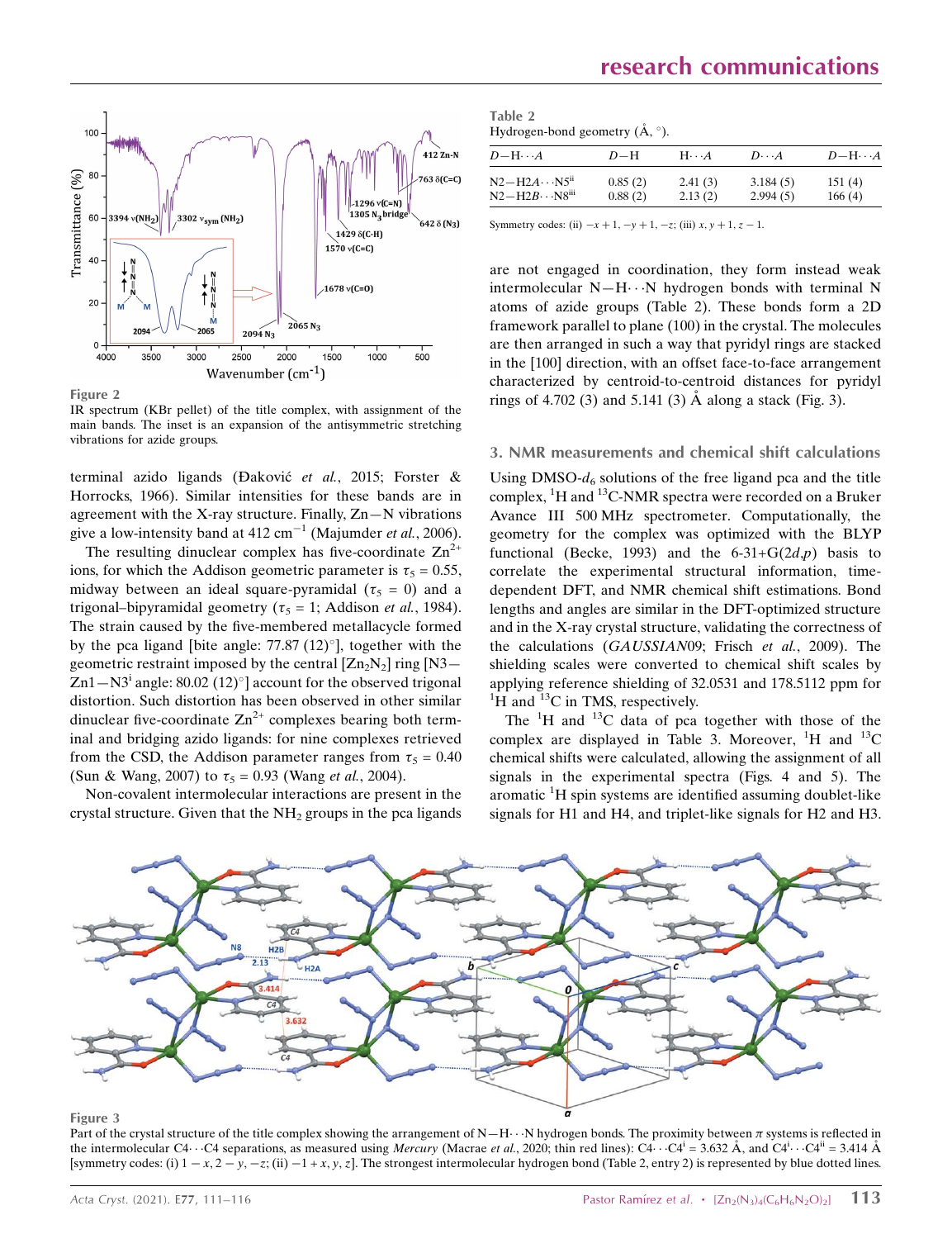

Figure 2

IR spectrum (KBr pellet) of the title complex, with assignment of the main bands. The inset is an expansion of the antisymmetric stretching vibrations for azide groups.

terminal azido ligands (Đaković et al., 2015; Forster & Horrocks, 1966). Similar intensities for these bands are in agreement with the X-ray structure. Finally, Zn—N vibrations give a low-intensity band at 412 cm<sup>-1</sup> (Majumder et al., 2006).

The resulting dinuclear complex has five-coordinate  $\text{Zn}^{2+}$ ions, for which the Addison geometric parameter is  $\tau_5 = 0.55$ , midway between an ideal square-pyramidal ( $\tau_5 = 0$ ) and a trigonal–bipyramidal geometry ( $\tau_5 = 1$ ; Addison *et al.*, 1984). The strain caused by the five-membered metallacycle formed by the pca ligand [bite angle:  $77.87 (12)°$ ], together with the geometric restraint imposed by the central  $[Zn_2N_2]$  ring  $[N3 \text{Zn1}-\text{N3}^{\text{i}}$  angle: 80.02 (12)°] account for the observed trigonal distortion. Such distortion has been observed in other similar dinuclear five-coordinate  $\text{Zn}^{2+}$  complexes bearing both terminal and bridging azido ligands: for nine complexes retrieved from the CSD, the Addison parameter ranges from  $\tau_5 = 0.40$ (Sun & Wang, 2007) to  $\tau_5 = 0.93$  (Wang *et al.*, 2004).

Non-covalent intermolecular interactions are present in the crystal structure. Given that the  $NH<sub>2</sub>$  groups in the pca ligands

| Table 2 |                                                    |
|---------|----------------------------------------------------|
|         | Hydrogen-bond geometry $(\mathring{A}, \degree)$ . |

| $D - H \cdots A$                                  | $D-H$              | $H\cdot\cdot\cdot A$ | $D\cdot\cdot\cdot A$ | $D$ -H $\cdots$ A |
|---------------------------------------------------|--------------------|----------------------|----------------------|-------------------|
| $N2 - H2A \cdots N5^{n}$<br>$N2 - H2B \cdots N8m$ | 0.85(2)<br>0.88(2) | 2.41(3)<br>2.13(2)   | 3.184(5)<br>2.994(5) | 151(4)<br>166(4)  |
|                                                   |                    |                      |                      |                   |

Symmetry codes: (ii)  $-x + 1, -y + 1, -z$ ; (iii)  $x, y + 1, z - 1$ .

are not engaged in coordination, they form instead weak intermolecular  $N-H\cdots N$  hydrogen bonds with terminal N atoms of azide groups (Table 2). These bonds form a 2D framework parallel to plane (100) in the crystal. The molecules are then arranged in such a way that pyridyl rings are stacked in the [100] direction, with an offset face-to-face arrangement characterized by centroid-to-centroid distances for pyridyl rings of 4.702 (3) and 5.141 (3)  $\AA$  along a stack (Fig. 3).

## 3. NMR measurements and chemical shift calculations

Using DMSO- $d_6$  solutions of the free ligand pca and the title complex,  ${}^{1}H$  and  ${}^{13}C$ -NMR spectra were recorded on a Bruker Avance III 500 MHz spectrometer. Computationally, the geometry for the complex was optimized with the BLYP functional (Becke, 1993) and the  $6-31+G(2d,p)$  basis to correlate the experimental structural information, timedependent DFT, and NMR chemical shift estimations. Bond lengths and angles are similar in the DFT-optimized structure and in the X-ray crystal structure, validating the correctness of the calculations (GAUSSIAN09; Frisch et al., 2009). The shielding scales were converted to chemical shift scales by applying reference shielding of 32.0531 and 178.5112 ppm for  ${}^{1}$ H and  ${}^{13}$ C in TMS, respectively.

The  ${}^{1}H$  and  ${}^{13}C$  data of pca together with those of the complex are displayed in Table 3. Moreover,  ${}^{1}H$  and  ${}^{13}C$ chemical shifts were calculated, allowing the assignment of all signals in the experimental spectra (Figs. 4 and 5). The aromatic <sup>1</sup>H spin systems are identified assuming doublet-like signals for H1 and H4, and triplet-like signals for H2 and H3.



#### Figure 3

Part of the crystal structure of the title complex showing the arrangement of N—H $\cdots$ N hydrogen bonds. The proximity between  $\pi$  systems is reflected in the intermolecular C4···C4 separations, as measured using Mercury (Macrae et al., 2020; thin red lines): C4···C4<sup>i</sup> = 3.632 Å, and C4<sup>i</sup>···C4<sup>ii</sup> = 3.414 Å [symmetry codes: (i)  $1 - x$ ,  $2 - y$ ,  $-z$ ; (ii)  $-1 + x$ ,  $y$ ,  $z$ ]. The strongest intermolecular hydrogen bond (Table 2, entry 2) is represented by blue dotted lines.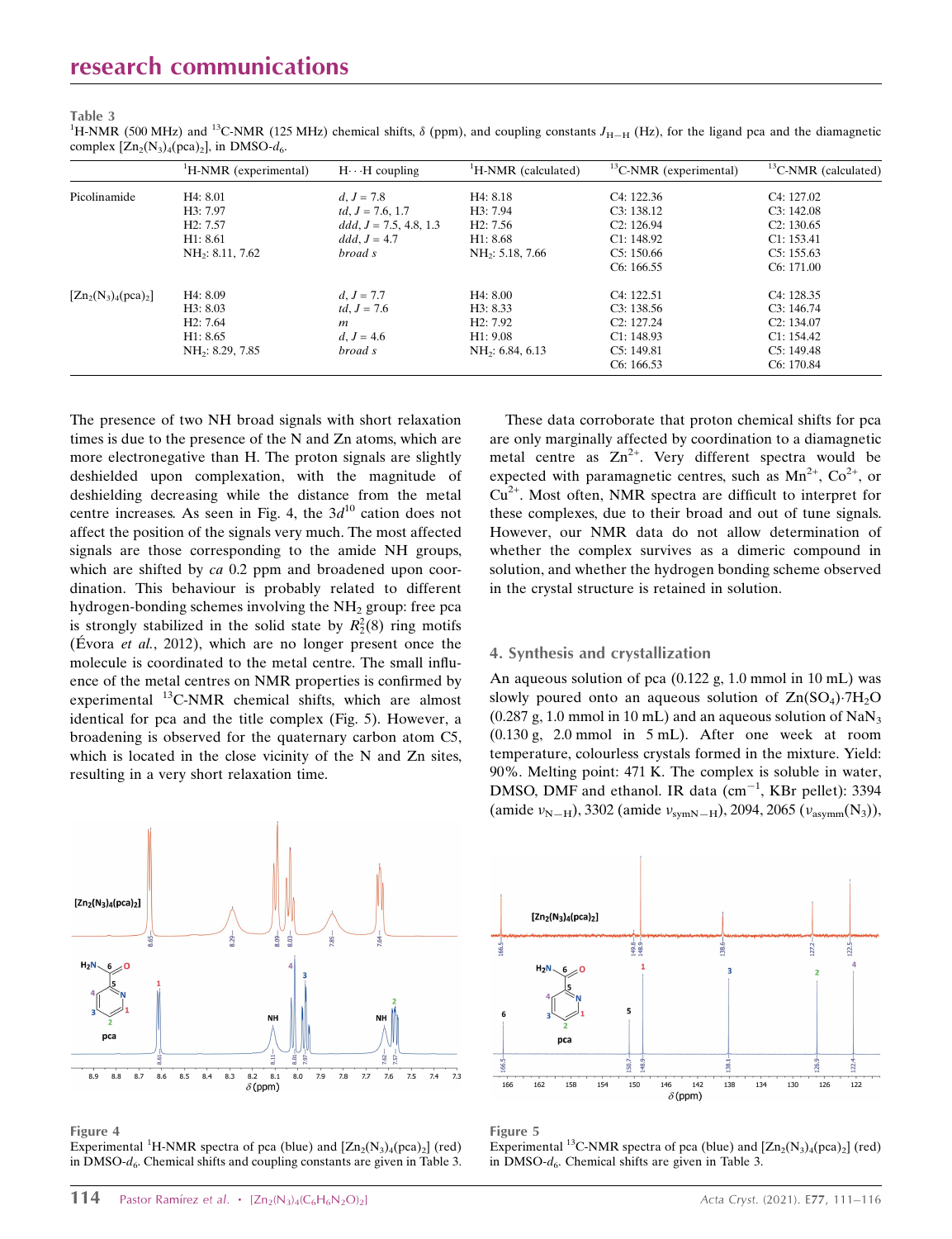#### Table 3

<sup>1</sup>H-NMR (500 MHz) and <sup>13</sup>C-NMR (125 MHz) chemical shifts,  $\delta$  (ppm), and coupling constants  $J_{H-H}$  (Hz), for the ligand pca and the diamagnetic complex  $[Zn_2(N_3)_4(pca)_2]$ , in DMSO- $d_6$ .

|                        | <sup>1</sup> H-NMR (experimental) | $H \cdot \cdot H$ coupling | <sup>1</sup> H-NMR (calculated) | ${}^{13}$ C-NMR (experimental) | ${}^{13}$ C-NMR (calculated) |
|------------------------|-----------------------------------|----------------------------|---------------------------------|--------------------------------|------------------------------|
| Picolinamide           | H4: 8.01                          | $d, J = 7.8$               | H4: 8.18                        | C <sub>4</sub> : 122.36        | C <sub>4</sub> : 127.02      |
|                        | H3: 7.97                          | td, $J = 7.6, 1.7$         | H3: 7.94                        | C3: 138.12                     | C3:142.08                    |
|                        | H <sub>2</sub> : 7.57             | $ddd, J = 7.5, 4.8, 1.3$   | H2: 7.56                        | C2: 126.94                     | C2: 130.65                   |
|                        | H1: 8.61                          | $ddd, J = 4.7$             | H1: 8.68                        | C1: 148.92                     | C1: 153.41                   |
|                        | NH <sub>2</sub> : 8.11, 7.62      | broad s                    | NH <sub>2</sub> : 5.18, 7.66    | C5: 150.66                     | C5: 155.63                   |
|                        |                                   |                            |                                 | C6: 166.55                     | C6: 171.00                   |
| $[Zn_2(N_3)_4(pca)_2]$ | H4: 8.09                          | $d, J = 7.7$               | H4: 8.00                        | C <sub>4</sub> : 122.51        | C <sub>4</sub> : 128.35      |
|                        | H3: 8.03                          | <i>td</i> , $J = 7.6$      | H3: 8.33                        | C3: 138.56                     | C3: 146.74                   |
|                        | H2: 7.64                          | $\boldsymbol{m}$           | H2: 7.92                        | C2: 127.24                     | C2: 134.07                   |
|                        | H1: 8.65                          | $d, J = 4.6$               | H1: 9.08                        | C1: 148.93                     | C1: 154.42                   |
|                        | NH <sub>2</sub> : 8.29, 7.85      | broad s                    | NH <sub>2</sub> : 6.84, 6.13    | C5: 149.81                     | C5: 149.48                   |
|                        |                                   |                            |                                 | C6: 166.53                     | C6: 170.84                   |

The presence of two NH broad signals with short relaxation times is due to the presence of the N and Zn atoms, which are more electronegative than H. The proton signals are slightly deshielded upon complexation, with the magnitude of deshielding decreasing while the distance from the metal centre increases. As seen in Fig. 4, the  $3d^{10}$  cation does not affect the position of the signals very much. The most affected signals are those corresponding to the amide NH groups, which are shifted by *ca* 0.2 ppm and broadened upon coordination. This behaviour is probably related to different hydrogen-bonding schemes involving the  $NH<sub>2</sub>$  group: free pca is strongly stabilized in the solid state by  $R_2^2(8)$  ring motifs (Évora *et al.*, 2012), which are no longer present once the molecule is coordinated to the metal centre. The small influence of the metal centres on NMR properties is confirmed by experimental <sup>13</sup>C-NMR chemical shifts, which are almost identical for pca and the title complex (Fig. 5). However, a broadening is observed for the quaternary carbon atom C5, which is located in the close vicinity of the N and Zn sites, resulting in a very short relaxation time.

These data corroborate that proton chemical shifts for pca are only marginally affected by coordination to a diamagnetic metal centre as  $Zn^{2+}$ . Very different spectra would be expected with paramagnetic centres, such as  $Mn^{2+}$ ,  $Co^{2+}$ , or  $Cu<sup>2+</sup>$ . Most often, NMR spectra are difficult to interpret for these complexes, due to their broad and out of tune signals. However, our NMR data do not allow determination of whether the complex survives as a dimeric compound in solution, and whether the hydrogen bonding scheme observed in the crystal structure is retained in solution.

## 4. Synthesis and crystallization

An aqueous solution of pca (0.122 g, 1.0 mmol in 10 mL) was slowly poured onto an aqueous solution of  $\text{Zn}(\text{SO}_4) \cdot 7\text{H}_2\text{O}$  $(0.287 \text{ g}, 1.0 \text{ mmol in } 10 \text{ mL})$  and an aqueous solution of NaN<sub>3</sub> (0.130 g, 2.0 mmol in 5 mL). After one week at room temperature, colourless crystals formed in the mixture. Yield: 90%. Melting point: 471 K. The complex is soluble in water, DMSO, DMF and ethanol. IR data  $(cm^{-1}, KBr$  pellet): 3394 (amide  $v_{N-H}$ ), 3302 (amide  $v_{symN-H}$ ), 2094, 2065 ( $v_{asymm}(N_3)$ ),



Figure 4

Experimental <sup>1</sup>H-NMR spectra of pca (blue) and  $[Zn_2(N_3)_4(pca)_2]$  (red) in DMSO- $d_6$ . Chemical shifts and coupling constants are given in Table 3.



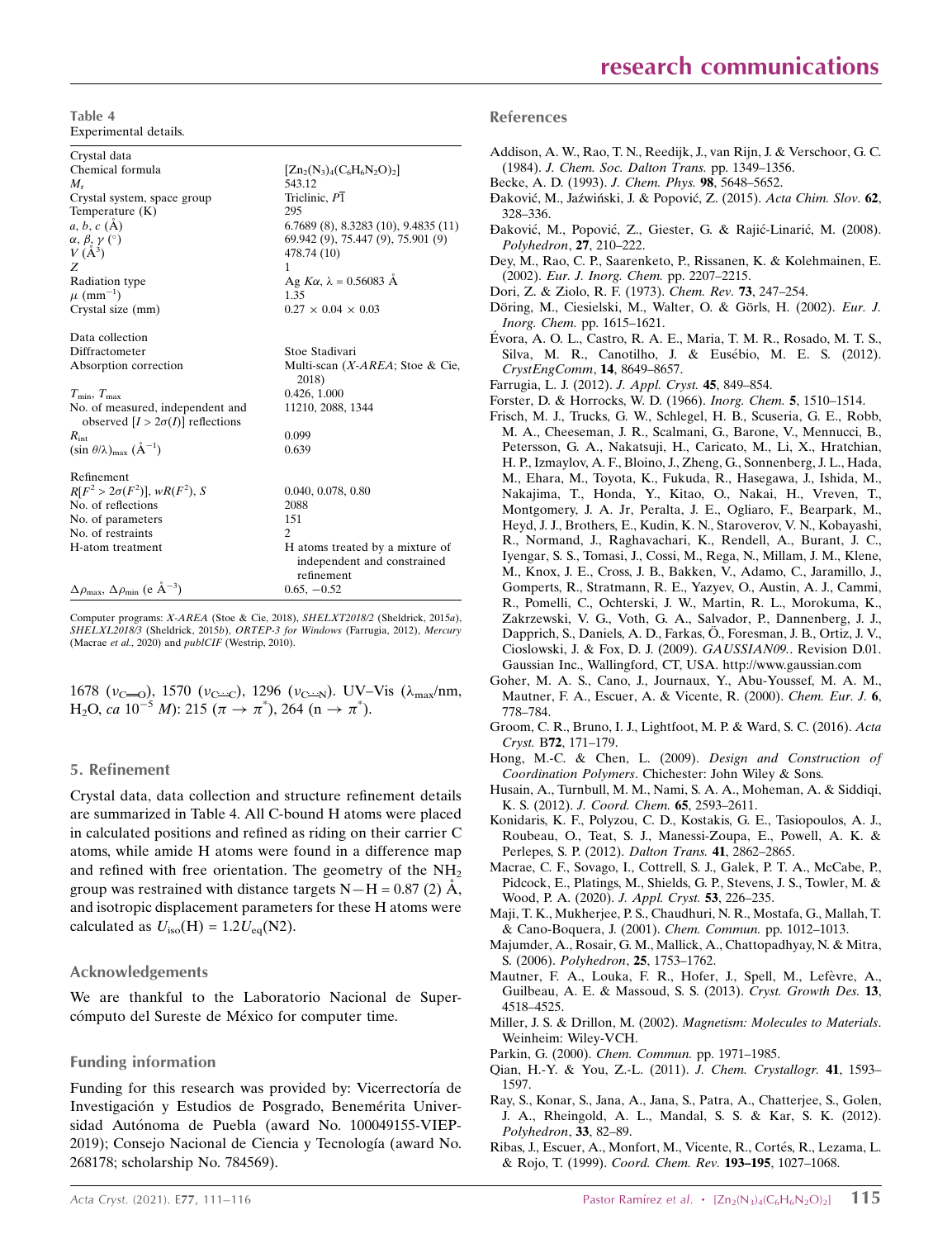Table 4 Experimental details.

| Crystal data                                                                   |                                             |
|--------------------------------------------------------------------------------|---------------------------------------------|
| Chemical formula                                                               | $[Zn_2(N_3)_4(C_6H_6N_2O)_2]$               |
| $M_{\rm r}$                                                                    | 543.12                                      |
| Crystal system, space group                                                    | Triclinic, P1                               |
| Temperature $(K)$                                                              | 295                                         |
| a, b, c (A)                                                                    | $6.7689(8)$ , 8.3283 $(10)$ , 9.4835 $(11)$ |
|                                                                                | 69.942 (9), 75.447 (9), 75.901 (9)          |
| $\begin{array}{l} \alpha,\,\beta,\,\gamma\ (\hat{~})\\ V\ (\AA^3) \end{array}$ | 478.74 (10)                                 |
| Z                                                                              | 1                                           |
| Radiation type                                                                 | Ag <i>Kα</i> , $\lambda$ = 0.56083 Å        |
| $\mu$ (mm <sup>-1</sup> )                                                      | 1.35                                        |
| Crystal size (mm)                                                              | $0.27 \times 0.04 \times 0.03$              |
|                                                                                |                                             |
| Data collection                                                                |                                             |
| Diffractometer                                                                 | Stoe Stadivari                              |
| Absorption correction                                                          | Multi-scan (X-AREA; Stoe & Cie,<br>2018)    |
| $T_{\min}, T_{\max}$                                                           | 0.426, 1.000                                |
| No. of measured, independent and                                               | 11210, 2088, 1344                           |
| observed $[I > 2\sigma(I)]$ reflections                                        |                                             |
| $R_{\rm int}$                                                                  | 0.099                                       |
| $(\sin \theta/\lambda)_{\text{max}}$ $(\text{\AA}^{-1})$                       | 0.639                                       |
|                                                                                |                                             |
| Refinement                                                                     |                                             |
| $R[F^2 > 2\sigma(F^2)], wR(F^2), S$                                            | 0.040, 0.078, 0.80                          |
| No. of reflections                                                             | 2088                                        |
| No. of parameters                                                              | 151                                         |
| No. of restraints                                                              | $\overline{c}$                              |
| H-atom treatment                                                               | H atoms treated by a mixture of             |
|                                                                                | independent and constrained<br>refinement   |
| $\Delta \rho_{\text{max}}$ , $\Delta \rho_{\text{min}}$ (e $\AA^{-3}$ )        | $0.65, -0.52$                               |
|                                                                                |                                             |

Computer programs: X-AREA (Stoe & Cie, 2018), SHELXT2018/2 (Sheldrick, 2015a), SHELXL2018/3 (Sheldrick, 2015b), ORTEP-3 for Windows (Farrugia, 2012), Mercury (Macrae et al., 2020) and publCIF (Westrip, 2010).

1678 ( $v_{\text{C}\rightarrow\text{O}}$ ), 1570 ( $v_{\text{C}\rightarrow\text{C}}$ ), 1296 ( $v_{\text{C}\rightarrow\text{N}}$ ). UV–Vis ( $\lambda_{\text{max}}$ /nm, H<sub>2</sub>O, ca 10<sup>-5</sup> M): 215 ( $\pi \to \pi^*$ ), 264 ( $n \to \pi^*$ ).

### 5. Refinement

Crystal data, data collection and structure refinement details are summarized in Table 4. All C-bound H atoms were placed in calculated positions and refined as riding on their carrier C atoms, while amide H atoms were found in a difference map and refined with free orientation. The geometry of the  $NH<sub>2</sub>$ group was restrained with distance targets  $N-H = 0.87$  (2)  $\AA$ , and isotropic displacement parameters for these H atoms were calculated as  $U_{\text{iso}}(\text{H}) = 1.2 U_{\text{eq}}(\text{N2}).$ 

### Acknowledgements

We are thankful to the Laboratorio Nacional de Supercómputo del Sureste de México for computer time.

## Funding information

Funding for this research was provided by: Vicerrectoría de Investigación y Estudios de Posgrado, Benemérita Universidad Autónoma de Puebla (award No. 100049155-VIEP-2019); Consejo Nacional de Ciencia y Tecnología (award No. 268178; scholarship No. 784569).

#### References

- [Addison, A. W., Rao, T. N., Reedijk, J., van Rijn, J. & Verschoor, G. C.](http://scripts.iucr.org/cgi-bin/cr.cgi?rm=pdfbb&cnor=yz2003&bbid=BB1) (1984). [J. Chem. Soc. Dalton Trans.](http://scripts.iucr.org/cgi-bin/cr.cgi?rm=pdfbb&cnor=yz2003&bbid=BB1) pp. 1349–1356. [Becke, A. D. \(1993\).](http://scripts.iucr.org/cgi-bin/cr.cgi?rm=pdfbb&cnor=yz2003&bbid=BB2) J. Chem. Phys. 98, 5648–5652. Đaković, M., Jazyviński, J. & Popović, Z. (2015). Acta Chim. Slov. 62, [328–336.](http://scripts.iucr.org/cgi-bin/cr.cgi?rm=pdfbb&cnor=yz2003&bbid=BB3) Đaković, M., Popović, Z., Giester, G. & Rajić-Linarić, M. (2008). [Polyhedron](http://scripts.iucr.org/cgi-bin/cr.cgi?rm=pdfbb&cnor=yz2003&bbid=BB4), 27, 210–222. [Dey, M., Rao, C. P., Saarenketo, P., Rissanen, K. & Kolehmainen, E.](http://scripts.iucr.org/cgi-bin/cr.cgi?rm=pdfbb&cnor=yz2003&bbid=BB5) (2002). [Eur. J. Inorg. Chem.](http://scripts.iucr.org/cgi-bin/cr.cgi?rm=pdfbb&cnor=yz2003&bbid=BB5) pp. 2207–2215. [Dori, Z. & Ziolo, R. F. \(1973\).](http://scripts.iucr.org/cgi-bin/cr.cgi?rm=pdfbb&cnor=yz2003&bbid=BB6) Chem. Rev. 73, 247–254. Döring, M., Ciesielski, M., Walter, O. & Görls, H. (2002). Eur. J. Inorg. Chem. [pp. 1615–1621.](http://scripts.iucr.org/cgi-bin/cr.cgi?rm=pdfbb&cnor=yz2003&bbid=BB7) É[vora, A. O. L., Castro, R. A. E., Maria, T. M. R., Rosado, M. T. S.,](http://scripts.iucr.org/cgi-bin/cr.cgi?rm=pdfbb&cnor=yz2003&bbid=BB8) Silva, M. R., Canotilho, J. & Eusébio, M. E. S. (2012). [CrystEngComm](http://scripts.iucr.org/cgi-bin/cr.cgi?rm=pdfbb&cnor=yz2003&bbid=BB8), 14, 8649–8657. [Farrugia, L. J. \(2012\).](http://scripts.iucr.org/cgi-bin/cr.cgi?rm=pdfbb&cnor=yz2003&bbid=BB9) J. Appl. Cryst. 45, 849–854. [Forster, D. & Horrocks, W. D. \(1966\).](http://scripts.iucr.org/cgi-bin/cr.cgi?rm=pdfbb&cnor=yz2003&bbid=BB10) Inorg. Chem. 5, 1510–1514. [Frisch, M. J., Trucks, G. W., Schlegel, H. B., Scuseria, G. E., Robb,](http://scripts.iucr.org/cgi-bin/cr.cgi?rm=pdfbb&cnor=yz2003&bbid=BB11) [M. A., Cheeseman, J. R., Scalmani, G., Barone, V., Mennucci, B.,](http://scripts.iucr.org/cgi-bin/cr.cgi?rm=pdfbb&cnor=yz2003&bbid=BB11) [Petersson, G. A., Nakatsuji, H., Caricato, M., Li, X., Hratchian,](http://scripts.iucr.org/cgi-bin/cr.cgi?rm=pdfbb&cnor=yz2003&bbid=BB11) [H. P., Izmaylov, A. F., Bloino, J., Zheng, G., Sonnenberg, J. L., Hada,](http://scripts.iucr.org/cgi-bin/cr.cgi?rm=pdfbb&cnor=yz2003&bbid=BB11) [M., Ehara, M., Toyota, K., Fukuda, R., Hasegawa, J., Ishida, M.,](http://scripts.iucr.org/cgi-bin/cr.cgi?rm=pdfbb&cnor=yz2003&bbid=BB11) [Nakajima, T., Honda, Y., Kitao, O., Nakai, H., Vreven, T.,](http://scripts.iucr.org/cgi-bin/cr.cgi?rm=pdfbb&cnor=yz2003&bbid=BB11) [Montgomery, J. A. Jr, Peralta, J. E., Ogliaro, F., Bearpark, M.,](http://scripts.iucr.org/cgi-bin/cr.cgi?rm=pdfbb&cnor=yz2003&bbid=BB11) [Heyd, J. J., Brothers, E., Kudin, K. N., Staroverov, V. N., Kobayashi,](http://scripts.iucr.org/cgi-bin/cr.cgi?rm=pdfbb&cnor=yz2003&bbid=BB11) [R., Normand, J., Raghavachari, K., Rendell, A., Burant, J. C.,](http://scripts.iucr.org/cgi-bin/cr.cgi?rm=pdfbb&cnor=yz2003&bbid=BB11) [Iyengar, S. S., Tomasi, J., Cossi, M., Rega, N., Millam, J. M., Klene,](http://scripts.iucr.org/cgi-bin/cr.cgi?rm=pdfbb&cnor=yz2003&bbid=BB11)
- [M., Knox, J. E., Cross, J. B., Bakken, V., Adamo, C., Jaramillo, J.,](http://scripts.iucr.org/cgi-bin/cr.cgi?rm=pdfbb&cnor=yz2003&bbid=BB11) [Gomperts, R., Stratmann, R. E., Yazyev, O., Austin, A. J., Cammi,](http://scripts.iucr.org/cgi-bin/cr.cgi?rm=pdfbb&cnor=yz2003&bbid=BB11) [R., Pomelli, C., Ochterski, J. W., Martin, R. L., Morokuma, K.,](http://scripts.iucr.org/cgi-bin/cr.cgi?rm=pdfbb&cnor=yz2003&bbid=BB11) [Zakrzewski, V. G., Voth, G. A., Salvador, P., Dannenberg, J. J.,](http://scripts.iucr.org/cgi-bin/cr.cgi?rm=pdfbb&cnor=yz2003&bbid=BB11) Dapprich, S., Daniels, A. D., Farkas, O., Foresman, J. B., Ortiz, J. V., [Cioslowski, J. & Fox, D. J. \(2009\).](http://scripts.iucr.org/cgi-bin/cr.cgi?rm=pdfbb&cnor=yz2003&bbid=BB11) GAUSSIAN09.. Revision D.01. [Gaussian Inc., Wallingford, CT, USA. http://www.gaussian.com](http://scripts.iucr.org/cgi-bin/cr.cgi?rm=pdfbb&cnor=yz2003&bbid=BB11)
- [Goher, M. A. S., Cano, J., Journaux, Y., Abu-Youssef, M. A. M.,](http://scripts.iucr.org/cgi-bin/cr.cgi?rm=pdfbb&cnor=yz2003&bbid=BB12) [Mautner, F. A., Escuer, A. & Vicente, R. \(2000\).](http://scripts.iucr.org/cgi-bin/cr.cgi?rm=pdfbb&cnor=yz2003&bbid=BB12) Chem. Eur. J. 6, [778–784.](http://scripts.iucr.org/cgi-bin/cr.cgi?rm=pdfbb&cnor=yz2003&bbid=BB12)
- [Groom, C. R., Bruno, I. J., Lightfoot, M. P. & Ward, S. C. \(2016\).](http://scripts.iucr.org/cgi-bin/cr.cgi?rm=pdfbb&cnor=yz2003&bbid=BB13) Acta Cryst. B72[, 171–179.](http://scripts.iucr.org/cgi-bin/cr.cgi?rm=pdfbb&cnor=yz2003&bbid=BB13)
- [Hong, M.-C. & Chen, L. \(2009\).](http://scripts.iucr.org/cgi-bin/cr.cgi?rm=pdfbb&cnor=yz2003&bbid=BB14) Design and Construction of Coordination Polymers[. Chichester: John Wiley & Sons.](http://scripts.iucr.org/cgi-bin/cr.cgi?rm=pdfbb&cnor=yz2003&bbid=BB14)
- [Husain, A., Turnbull, M. M., Nami, S. A. A., Moheman, A. & Siddiqi,](http://scripts.iucr.org/cgi-bin/cr.cgi?rm=pdfbb&cnor=yz2003&bbid=BB15) K. S. (2012). [J. Coord. Chem.](http://scripts.iucr.org/cgi-bin/cr.cgi?rm=pdfbb&cnor=yz2003&bbid=BB15) 65, 2593–2611.
- [Konidaris, K. F., Polyzou, C. D., Kostakis, G. E., Tasiopoulos, A. J.,](http://scripts.iucr.org/cgi-bin/cr.cgi?rm=pdfbb&cnor=yz2003&bbid=BB16) [Roubeau, O., Teat, S. J., Manessi-Zoupa, E., Powell, A. K. &](http://scripts.iucr.org/cgi-bin/cr.cgi?rm=pdfbb&cnor=yz2003&bbid=BB16) [Perlepes, S. P. \(2012\).](http://scripts.iucr.org/cgi-bin/cr.cgi?rm=pdfbb&cnor=yz2003&bbid=BB16) Dalton Trans. 41, 2862–2865.
- [Macrae, C. F., Sovago, I., Cottrell, S. J., Galek, P. T. A., McCabe, P.,](http://scripts.iucr.org/cgi-bin/cr.cgi?rm=pdfbb&cnor=yz2003&bbid=BB17) [Pidcock, E., Platings, M., Shields, G. P., Stevens, J. S., Towler, M. &](http://scripts.iucr.org/cgi-bin/cr.cgi?rm=pdfbb&cnor=yz2003&bbid=BB17) [Wood, P. A. \(2020\).](http://scripts.iucr.org/cgi-bin/cr.cgi?rm=pdfbb&cnor=yz2003&bbid=BB17) J. Appl. Cryst. 53, 226–235.
- [Maji, T. K., Mukherjee, P. S., Chaudhuri, N. R., Mostafa, G., Mallah, T.](http://scripts.iucr.org/cgi-bin/cr.cgi?rm=pdfbb&cnor=yz2003&bbid=BB18) [& Cano-Boquera, J. \(2001\).](http://scripts.iucr.org/cgi-bin/cr.cgi?rm=pdfbb&cnor=yz2003&bbid=BB18) Chem. Commun. pp. 1012–1013.
- [Majumder, A., Rosair, G. M., Mallick, A., Chattopadhyay, N. & Mitra,](http://scripts.iucr.org/cgi-bin/cr.cgi?rm=pdfbb&cnor=yz2003&bbid=BB19) S. (2006). Polyhedron, 25[, 1753–1762.](http://scripts.iucr.org/cgi-bin/cr.cgi?rm=pdfbb&cnor=yz2003&bbid=BB19)
- Mautner, F. A., Louka, F. R., Hofer, J., Spell, M., Lefèvre, A., [Guilbeau, A. E. & Massoud, S. S. \(2013\).](http://scripts.iucr.org/cgi-bin/cr.cgi?rm=pdfbb&cnor=yz2003&bbid=BB20) Cryst. Growth Des. 13, [4518–4525.](http://scripts.iucr.org/cgi-bin/cr.cgi?rm=pdfbb&cnor=yz2003&bbid=BB20)
- Miller, J. S. & Drillon, M. (2002). [Magnetism: Molecules to Materials](http://scripts.iucr.org/cgi-bin/cr.cgi?rm=pdfbb&cnor=yz2003&bbid=BB21). [Weinheim: Wiley-VCH.](http://scripts.iucr.org/cgi-bin/cr.cgi?rm=pdfbb&cnor=yz2003&bbid=BB21)
- [Parkin, G. \(2000\).](http://scripts.iucr.org/cgi-bin/cr.cgi?rm=pdfbb&cnor=yz2003&bbid=BB22) Chem. Commun. pp. 1971–1985.
- [Qian, H.-Y. & You, Z.-L. \(2011\).](http://scripts.iucr.org/cgi-bin/cr.cgi?rm=pdfbb&cnor=yz2003&bbid=BB23) J. Chem. Crystallogr. 41, 1593– [1597.](http://scripts.iucr.org/cgi-bin/cr.cgi?rm=pdfbb&cnor=yz2003&bbid=BB23)
- [Ray, S., Konar, S., Jana, A., Jana, S., Patra, A., Chatterjee, S., Golen,](http://scripts.iucr.org/cgi-bin/cr.cgi?rm=pdfbb&cnor=yz2003&bbid=BB24) [J. A., Rheingold, A. L., Mandal, S. S. & Kar, S. K. \(2012\).](http://scripts.iucr.org/cgi-bin/cr.cgi?rm=pdfbb&cnor=yz2003&bbid=BB24) [Polyhedron](http://scripts.iucr.org/cgi-bin/cr.cgi?rm=pdfbb&cnor=yz2003&bbid=BB24), 33, 82–89.
- Ribas, J., Escuer, A., Monfort, M., Vicente, R., Cortés, R., Lezama, L. & Rojo, T. (1999). [Coord. Chem. Rev.](http://scripts.iucr.org/cgi-bin/cr.cgi?rm=pdfbb&cnor=yz2003&bbid=BB25) 193–195, 1027–1068.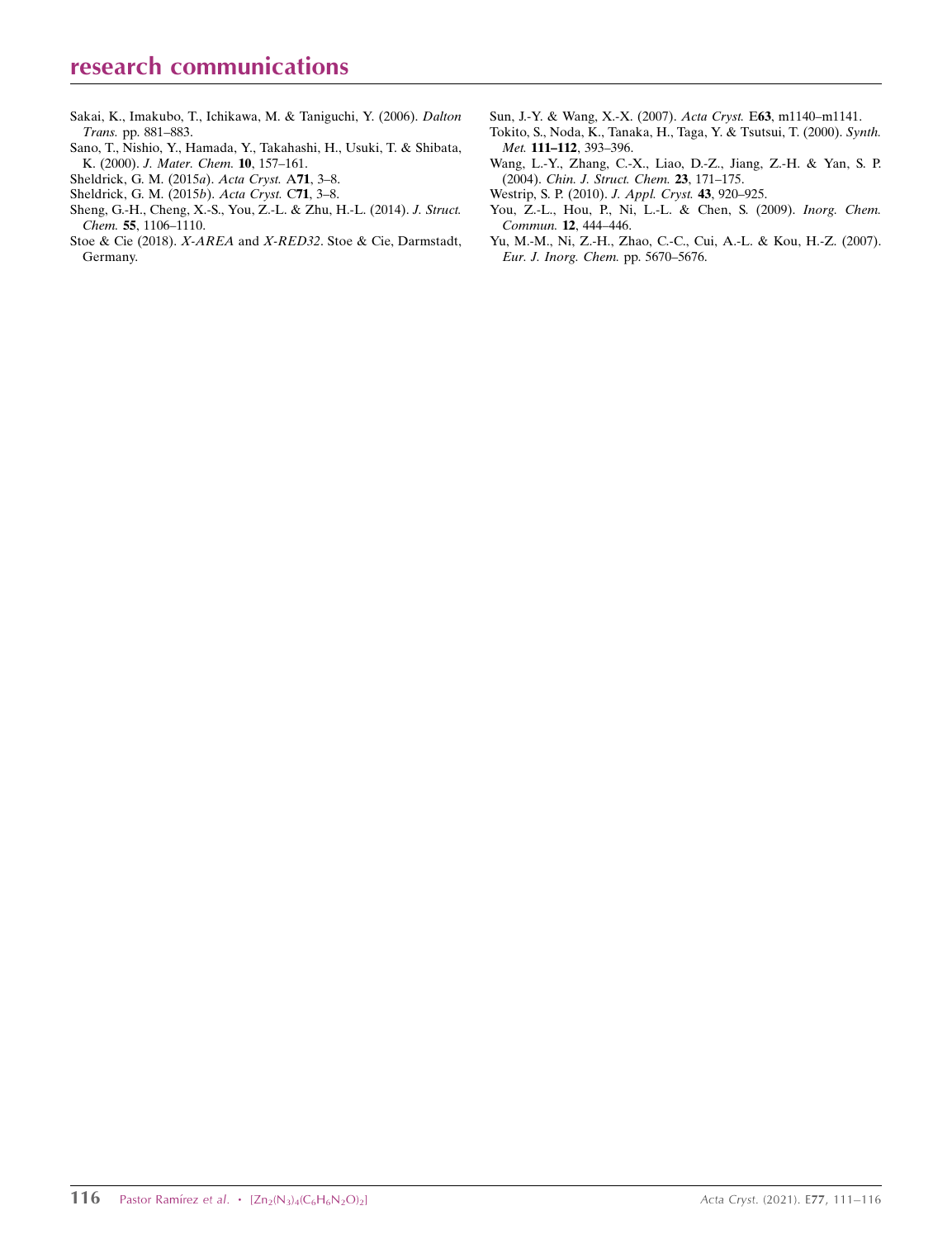- [Sakai, K., Imakubo, T., Ichikawa, M. & Taniguchi, Y. \(2006\).](http://scripts.iucr.org/cgi-bin/cr.cgi?rm=pdfbb&cnor=yz2003&bbid=BB36) Dalton Trans. [pp. 881–883.](http://scripts.iucr.org/cgi-bin/cr.cgi?rm=pdfbb&cnor=yz2003&bbid=BB36)
- [Sano, T., Nishio, Y., Hamada, Y., Takahashi, H., Usuki, T. & Shibata,](http://scripts.iucr.org/cgi-bin/cr.cgi?rm=pdfbb&cnor=yz2003&bbid=BB27) K. (2000). [J. Mater. Chem.](http://scripts.iucr.org/cgi-bin/cr.cgi?rm=pdfbb&cnor=yz2003&bbid=BB27) 10, 157–161.
- [Sheldrick, G. M. \(2015](http://scripts.iucr.org/cgi-bin/cr.cgi?rm=pdfbb&cnor=yz2003&bbid=BB28)a). Acta Cryst. A71, 3–8.
- [Sheldrick, G. M. \(2015](http://scripts.iucr.org/cgi-bin/cr.cgi?rm=pdfbb&cnor=yz2003&bbid=BB29)b). Acta Cryst. C71, 3–8.
- [Sheng, G.-H., Cheng, X.-S., You, Z.-L. & Zhu, H.-L. \(2014\).](http://scripts.iucr.org/cgi-bin/cr.cgi?rm=pdfbb&cnor=yz2003&bbid=BB30) J. Struct. Chem. 55[, 1106–1110.](http://scripts.iucr.org/cgi-bin/cr.cgi?rm=pdfbb&cnor=yz2003&bbid=BB30)
- Stoe & Cie (2018). X-AREA and X-RED32[. Stoe & Cie, Darmstadt,](http://scripts.iucr.org/cgi-bin/cr.cgi?rm=pdfbb&cnor=yz2003&bbid=BB31) [Germany.](http://scripts.iucr.org/cgi-bin/cr.cgi?rm=pdfbb&cnor=yz2003&bbid=BB31)
- [Sun, J.-Y. & Wang, X.-X. \(2007\).](http://scripts.iucr.org/cgi-bin/cr.cgi?rm=pdfbb&cnor=yz2003&bbid=BB32) Acta Cryst. E63, m1140–m1141.
- [Tokito, S., Noda, K., Tanaka, H., Taga, Y. & Tsutsui, T. \(2000\).](http://scripts.iucr.org/cgi-bin/cr.cgi?rm=pdfbb&cnor=yz2003&bbid=BB33) Synth. Met. 111–112[, 393–396.](http://scripts.iucr.org/cgi-bin/cr.cgi?rm=pdfbb&cnor=yz2003&bbid=BB33)
- [Wang, L.-Y., Zhang, C.-X., Liao, D.-Z., Jiang, Z.-H. & Yan, S. P.](http://scripts.iucr.org/cgi-bin/cr.cgi?rm=pdfbb&cnor=yz2003&bbid=BB34) (2004). [Chin. J. Struct. Chem.](http://scripts.iucr.org/cgi-bin/cr.cgi?rm=pdfbb&cnor=yz2003&bbid=BB34) 23, 171–175.
- [Westrip, S. P. \(2010\).](http://scripts.iucr.org/cgi-bin/cr.cgi?rm=pdfbb&cnor=yz2003&bbid=BB35) J. Appl. Cryst. 43, 920–925.
- [You, Z.-L., Hou, P., Ni, L.-L. & Chen, S. \(2009\).](http://scripts.iucr.org/cgi-bin/cr.cgi?rm=pdfbb&cnor=yz2003&bbid=BB36) Inorg. Chem. Commun. 12[, 444–446.](http://scripts.iucr.org/cgi-bin/cr.cgi?rm=pdfbb&cnor=yz2003&bbid=BB36)
- [Yu, M.-M., Ni, Z.-H., Zhao, C.-C., Cui, A.-L. & Kou, H.-Z. \(2007\).](http://scripts.iucr.org/cgi-bin/cr.cgi?rm=pdfbb&cnor=yz2003&bbid=BB37) [Eur. J. Inorg. Chem.](http://scripts.iucr.org/cgi-bin/cr.cgi?rm=pdfbb&cnor=yz2003&bbid=BB37) pp. 5670–5676.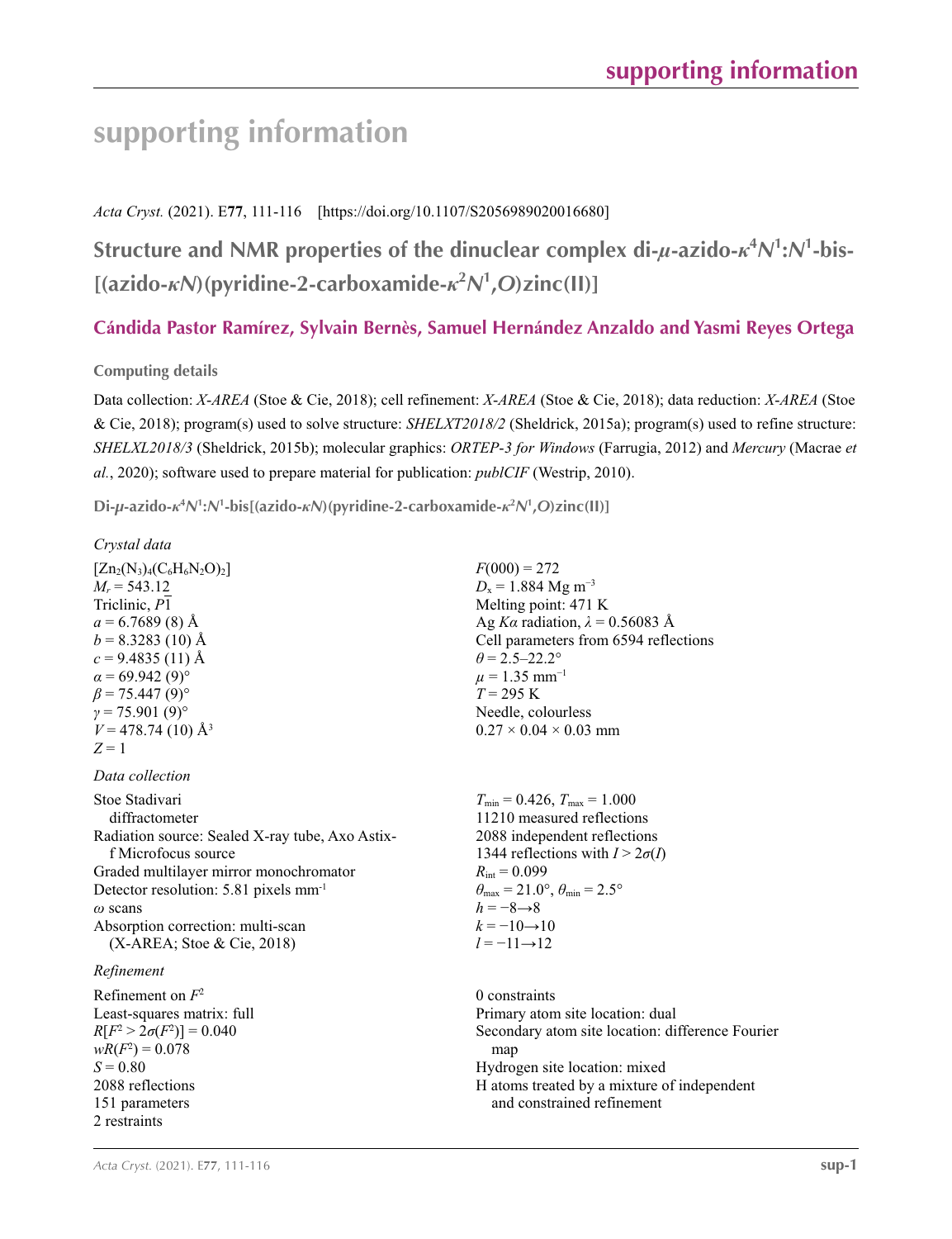# **supporting information**

# *Acta Cryst.* (2021). E**77**, 111-116 [https://doi.org/10.1107/S2056989020016680]

# **Structure and NMR properties of the dinuclear complex di-***µ***-azido-***κ***<sup>4</sup>** *N***1 :***N***<sup>1</sup> -bis- [(azido-***κN***)(pyridine-2-carboxamide-***κ***<sup>2</sup>** *N***1 ,***O***)zinc(II)]**

# **Cándida Pastor Ramírez, Sylvain Bernès, Samuel Hernández Anzaldo and Yasmi Reyes Ortega**

## **Computing details**

Data collection: *X*-*AREA* (Stoe & Cie, 2018); cell refinement: *X*-*AREA* (Stoe & Cie, 2018); data reduction: *X*-*AREA* (Stoe & Cie, 2018); program(s) used to solve structure: *SHELXT2018/2* (Sheldrick, 2015a); program(s) used to refine structure: *SHELXL2018/3* (Sheldrick, 2015b); molecular graphics: *ORTEP*-*3 for Windows* (Farrugia, 2012) and *Mercury* (Macrae *et al.*, 2020); software used to prepare material for publication: *publCIF* (Westrip, 2010).

Di- $\mu$ -azido- $\kappa^4 N^1$ : $N^1$ -bis[(azido- $\kappa N$ )(pyridine-2-carboxamide- $\kappa^2 N^1$ ,O)zinc(II)]

## *Crystal data*

 $[Zn_2(N_3)_4(C_6H_6N_2O)_2]$  $M_r = 543.12$ Triclinic, *P*1  $a = 6.7689(8)$  Å  $b = 8.3283(10)$  Å  $c = 9.4835(11)$  Å  $\alpha$  = 69.942 (9)<sup>o</sup>  $\beta$  = 75.447 (9)<sup>o</sup>  $γ = 75.901(9)°$  $V = 478.74$  (10) Å<sup>3</sup>  $Z = 1$ 

## *Data collection*

Stoe Stadivari diffractometer Radiation source: Sealed X-ray tube, Axo Astixf Microfocus source Graded multilayer mirror monochromator Detector resolution: 5.81 pixels mm<sup>-1</sup> *ω* scans Absorption correction: multi-scan (X-AREA; Stoe & Cie, 2018)

## *Refinement*

Refinement on *F*<sup>2</sup> Least-squares matrix: full  $R[F^2 > 2\sigma(F^2)] = 0.040$  $wR(F^2) = 0.078$  $S = 0.80$ 2088 reflections 151 parameters 2 restraints

 $F(000) = 272$  $D_x = 1.884$  Mg m<sup>-3</sup> Melting point: 471 K Ag *Ka* radiation,  $\lambda = 0.56083$  Å Cell parameters from 6594 reflections  $\theta$  = 2.5–22.2°  $\mu = 1.35$  mm<sup>-1</sup>  $T = 295$  K Needle, colourless  $0.27 \times 0.04 \times 0.03$  mm

 $T_{\text{min}} = 0.426$ ,  $T_{\text{max}} = 1.000$ 11210 measured reflections 2088 independent reflections 1344 reflections with  $I > 2\sigma(I)$  $R_{\text{int}} = 0.099$  $\theta_{\text{max}} = 21.0^{\circ}, \theta_{\text{min}} = 2.5^{\circ}$  $h = -8 \rightarrow 8$  $k = -10 \rightarrow 10$ *l* = −11→12

0 constraints Primary atom site location: dual Secondary atom site location: difference Fourier map Hydrogen site location: mixed H atoms treated by a mixture of independent and constrained refinement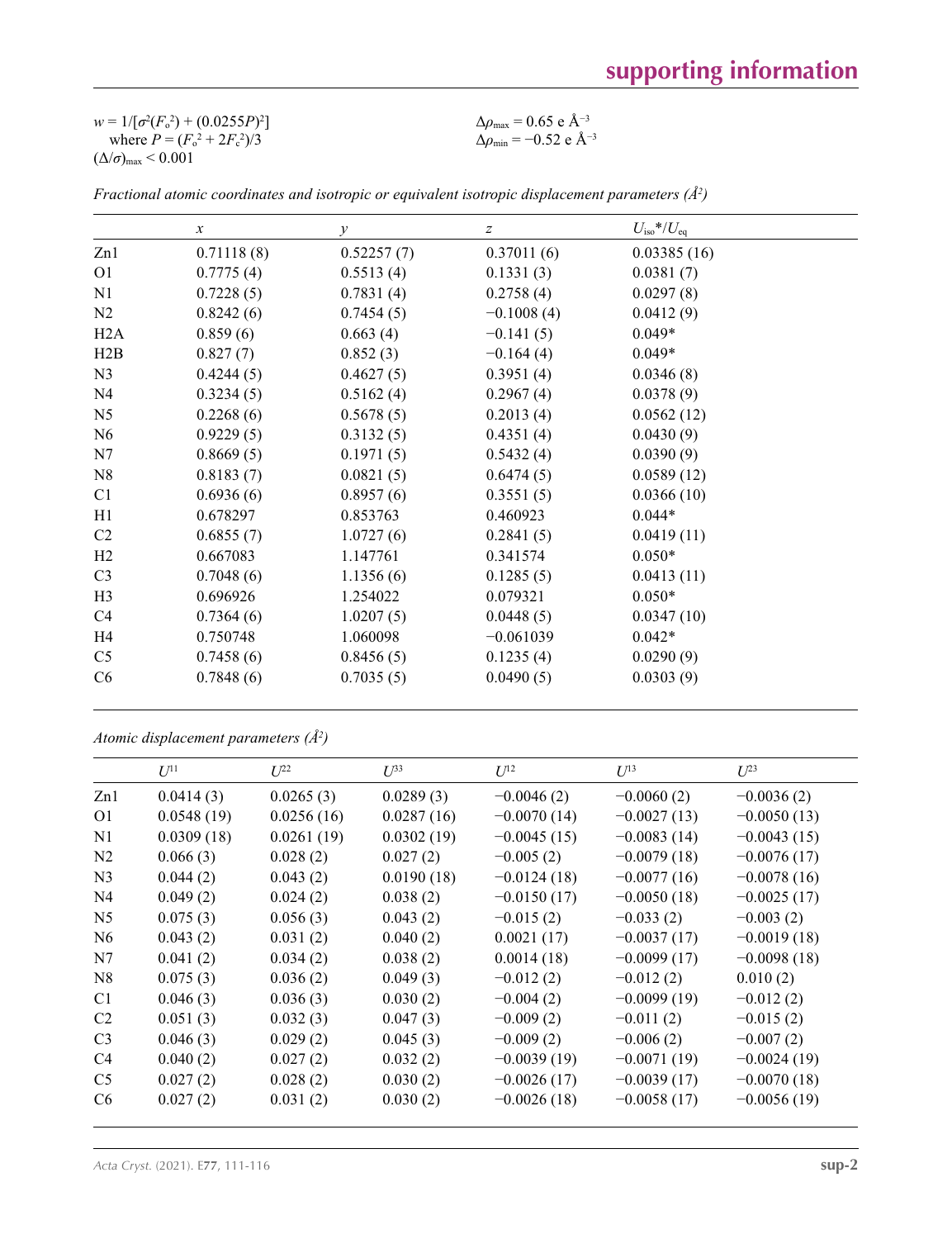| $w = 1/[\sigma^2(F_0^2) + (0.0255P)^2]$ | $\Delta\rho_{\rm max} = 0.65$ e Å <sup>-3</sup>  |
|-----------------------------------------|--------------------------------------------------|
| where $P = (F_o^2 + 2F_c^2)/3$          | $\Delta\rho_{\rm min}$ = -0.52 e Å <sup>-3</sup> |
| $(\Delta/\sigma)_{\text{max}}$ < 0.001  |                                                  |

|                | $\boldsymbol{x}$ | $\mathcal{Y}$ | $\boldsymbol{Z}$ | $U_{\rm iso}*/U_{\rm eq}$ |  |
|----------------|------------------|---------------|------------------|---------------------------|--|
| Zn1            | 0.71118(8)       | 0.52257(7)    | 0.37011(6)       | 0.03385(16)               |  |
| O <sub>1</sub> | 0.7775(4)        | 0.5513(4)     | 0.1331(3)        | 0.0381(7)                 |  |
| N1             | 0.7228(5)        | 0.7831(4)     | 0.2758(4)        | 0.0297(8)                 |  |
| N2             | 0.8242(6)        | 0.7454(5)     | $-0.1008(4)$     | 0.0412(9)                 |  |
| H2A            | 0.859(6)         | 0.663(4)      | $-0.141(5)$      | $0.049*$                  |  |
| H2B            | 0.827(7)         | 0.852(3)      | $-0.164(4)$      | $0.049*$                  |  |
| N <sub>3</sub> | 0.4244(5)        | 0.4627(5)     | 0.3951(4)        | 0.0346(8)                 |  |
| N <sub>4</sub> | 0.3234(5)        | 0.5162(4)     | 0.2967(4)        | 0.0378(9)                 |  |
| N <sub>5</sub> | 0.2268(6)        | 0.5678(5)     | 0.2013(4)        | 0.0562(12)                |  |
| N <sub>6</sub> | 0.9229(5)        | 0.3132(5)     | 0.4351(4)        | 0.0430(9)                 |  |
| N7             | 0.8669(5)        | 0.1971(5)     | 0.5432(4)        | 0.0390(9)                 |  |
| N8             | 0.8183(7)        | 0.0821(5)     | 0.6474(5)        | 0.0589(12)                |  |
| C <sub>1</sub> | 0.6936(6)        | 0.8957(6)     | 0.3551(5)        | 0.0366(10)                |  |
| H1             | 0.678297         | 0.853763      | 0.460923         | $0.044*$                  |  |
| C <sub>2</sub> | 0.6855(7)        | 1.0727(6)     | 0.2841(5)        | 0.0419(11)                |  |
| H2             | 0.667083         | 1.147761      | 0.341574         | $0.050*$                  |  |
| C <sub>3</sub> | 0.7048(6)        | 1.1356(6)     | 0.1285(5)        | 0.0413(11)                |  |
| H <sub>3</sub> | 0.696926         | 1.254022      | 0.079321         | $0.050*$                  |  |
| C4             | 0.7364(6)        | 1.0207(5)     | 0.0448(5)        | 0.0347(10)                |  |
| H <sub>4</sub> | 0.750748         | 1.060098      | $-0.061039$      | $0.042*$                  |  |
| C <sub>5</sub> | 0.7458(6)        | 0.8456(5)     | 0.1235(4)        | 0.0290(9)                 |  |
| C6             | 0.7848(6)        | 0.7035(5)     | 0.0490(5)        | 0.0303(9)                 |  |

*Fractional atomic coordinates and isotropic or equivalent isotropic displacement parameters (Å<sup>2</sup>)* 

```
Atomic displacement parameters (Å2
)
```

|                | $U^{11}$   | $L^{22}$   | $\mathcal{I}^{\beta 3}$ | $U^{12}$      | $U^{13}$      | $L^{23}$      |
|----------------|------------|------------|-------------------------|---------------|---------------|---------------|
| Zn1            | 0.0414(3)  | 0.0265(3)  | 0.0289(3)               | $-0.0046(2)$  | $-0.0060(2)$  | $-0.0036(2)$  |
| O <sub>1</sub> | 0.0548(19) | 0.0256(16) | 0.0287(16)              | $-0.0070(14)$ | $-0.0027(13)$ | $-0.0050(13)$ |
| N1             | 0.0309(18) | 0.0261(19) | 0.0302(19)              | $-0.0045(15)$ | $-0.0083(14)$ | $-0.0043(15)$ |
| N <sub>2</sub> | 0.066(3)   | 0.028(2)   | 0.027(2)                | $-0.005(2)$   | $-0.0079(18)$ | $-0.0076(17)$ |
| N <sub>3</sub> | 0.044(2)   | 0.043(2)   | 0.0190(18)              | $-0.0124(18)$ | $-0.0077(16)$ | $-0.0078(16)$ |
| N <sub>4</sub> | 0.049(2)   | 0.024(2)   | 0.038(2)                | $-0.0150(17)$ | $-0.0050(18)$ | $-0.0025(17)$ |
| N <sub>5</sub> | 0.075(3)   | 0.056(3)   | 0.043(2)                | $-0.015(2)$   | $-0.033(2)$   | $-0.003(2)$   |
| N <sub>6</sub> | 0.043(2)   | 0.031(2)   | 0.040(2)                | 0.0021(17)    | $-0.0037(17)$ | $-0.0019(18)$ |
| N7             | 0.041(2)   | 0.034(2)   | 0.038(2)                | 0.0014(18)    | $-0.0099(17)$ | $-0.0098(18)$ |
| N8             | 0.075(3)   | 0.036(2)   | 0.049(3)                | $-0.012(2)$   | $-0.012(2)$   | 0.010(2)      |
| C <sub>1</sub> | 0.046(3)   | 0.036(3)   | 0.030(2)                | $-0.004(2)$   | $-0.0099(19)$ | $-0.012(2)$   |
| C <sub>2</sub> | 0.051(3)   | 0.032(3)   | 0.047(3)                | $-0.009(2)$   | $-0.011(2)$   | $-0.015(2)$   |
| C <sub>3</sub> | 0.046(3)   | 0.029(2)   | 0.045(3)                | $-0.009(2)$   | $-0.006(2)$   | $-0.007(2)$   |
| C <sub>4</sub> | 0.040(2)   | 0.027(2)   | 0.032(2)                | $-0.0039(19)$ | $-0.0071(19)$ | $-0.0024(19)$ |
| C <sub>5</sub> | 0.027(2)   | 0.028(2)   | 0.030(2)                | $-0.0026(17)$ | $-0.0039(17)$ | $-0.0070(18)$ |
| C <sub>6</sub> | 0.027(2)   | 0.031(2)   | 0.030(2)                | $-0.0026(18)$ | $-0.0058(17)$ | $-0.0056(19)$ |
|                |            |            |                         |               |               |               |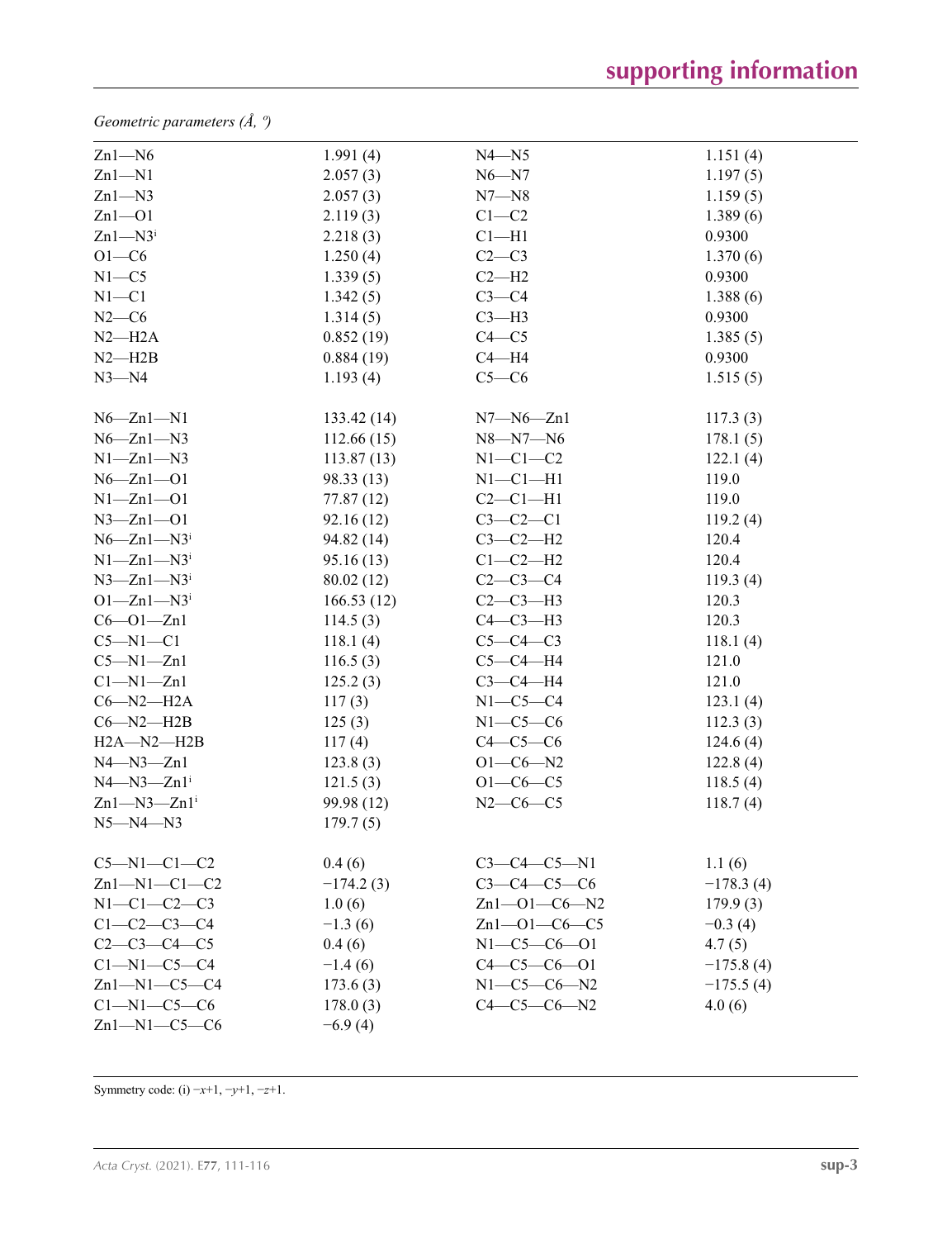*Geometric parameters (Å, º)*

| $Zn1 - N6$                   | 1.991(4)    | $N4 - N5$            | 1.151(4)    |
|------------------------------|-------------|----------------------|-------------|
| $Zn1 - N1$                   | 2.057(3)    | $N6 - N7$            | 1.197(5)    |
| $Zn1 - N3$                   | 2.057(3)    | $N7 - N8$            | 1.159(5)    |
| $Zn1 - O1$                   | 2.119(3)    | $C1-C2$              | 1.389(6)    |
| $Zn1 - N3$                   | 2.218(3)    | $Cl-H1$              | 0.9300      |
| $O1-C6$                      | 1.250(4)    | $C2-C3$              | 1.370(6)    |
| $N1 - C5$                    | 1.339(5)    | $C2-H2$              | 0.9300      |
| $N1 - C1$                    | 1.342(5)    | $C3-C4$              | 1.388(6)    |
| $N2-C6$                      | 1.314(5)    | $C3-H3$              | 0.9300      |
| $N2-H2A$                     | 0.852(19)   | $C4 - C5$            | 1.385(5)    |
| $N2 - H2B$                   | 0.884(19)   | $C4 - H4$            | 0.9300      |
| $N3 - N4$                    | 1.193(4)    | $C5-C6$              | 1.515(5)    |
| $N6 - Zn1 - N1$              | 133.42(14)  | $N7 - N6 - Zn1$      | 117.3(3)    |
| $N6 - Zn1 - N3$              | 112.66(15)  | $N8 - N7 - N6$       | 178.1(5)    |
| $N1 - Zn1 - N3$              | 113.87(13)  | $N1-C1-C2$           | 122.1(4)    |
| $N6 - Zn1 - O1$              | 98.33 (13)  | $N1-C1-H1$           | 119.0       |
| $N1 - Zn1 - O1$              | 77.87 (12)  | $C2-C1-H1$           | 119.0       |
| $N3 - Zn1 - O1$              | 92.16(12)   | $C3-C2-C1$           | 119.2(4)    |
| $N6 - Zn1 - N3$              | 94.82 (14)  | $C3-C2-H2$           | 120.4       |
| $N1 - Zn1 - N3$              | 95.16 (13)  | $C1-C2-H2$           | 120.4       |
| $N3 - Zn1 - N3$              | 80.02 (12)  | $C2-C3-C4$           | 119.3(4)    |
| $O1 - Zn1 - N3$              | 166.53(12)  | $C2-C3-H3$           | 120.3       |
| $C6 - O1 - Zn1$              | 114.5(3)    | $C4-C3-H3$           | 120.3       |
| $C5 - N1 - C1$               | 118.1(4)    | $C5-C4-C3$           | 118.1(4)    |
| $C5 - N1 - Zn1$              | 116.5(3)    | $C5-C4-H4$           | 121.0       |
| $Cl-M1-Zn1$                  | 125.2(3)    | $C3-C4-H4$           | 121.0       |
| $C6 - N2 - H2A$              | 117(3)      | $N1-C5-C4$           | 123.1(4)    |
| $C6 - N2 - H2B$              | 125(3)      | $N1-C5-C6$           | 112.3(3)    |
| $H2A - N2 - H2B$             | 117(4)      | $C4-C5-C6$           | 124.6(4)    |
| $N4 - N3 - Zn1$              | 123.8(3)    | $O1 - C6 - N2$       | 122.8(4)    |
| $N4 - N3 - Zn1$ <sup>i</sup> | 121.5(3)    | $O1 - C6 - C5$       | 118.5(4)    |
| $Zn1 - N3 - Zn1$             | 99.98 (12)  | $N2-C6-C5$           | 118.7(4)    |
| $N5 - N4 - N3$               | 179.7(5)    |                      |             |
| $C5 - N1 - C1 - C2$          | 0.4(6)      | $C3-C4-C5-N1$        | 1.1(6)      |
| $Zn1 - N1 - C1 - C2$         | $-174.2(3)$ | $C3-C4-C5-C6$        | $-178.3(4)$ |
| $N1 - C1 - C2 - C3$          | 1.0(6)      | $Zn1 - O1 - C6 - N2$ | 179.9(3)    |
| $C1 - C2 - C3 - C4$          | $-1.3(6)$   | $Zn1 - 01 - C6 - C5$ | $-0.3(4)$   |
| $C2 - C3 - C4 - C5$          | 0.4(6)      | $N1 - C5 - C6 - O1$  | 4.7(5)      |
| $Cl-M1-C5-C4$                | $-1.4(6)$   | $C4 - C5 - C6 - O1$  | $-175.8(4)$ |
| $Zn1-M1-C5-C4$               | 173.6(3)    | $N1 - C5 - C6 - N2$  | $-175.5(4)$ |
| $C1 - N1 - C5 - C6$          | 178.0(3)    | $C4-C5-C6-N2$        | 4.0(6)      |
| $Zn1-M1-C5-C6$               | $-6.9(4)$   |                      |             |

Symmetry code: (i) −*x*+1, −*y*+1, −*z*+1.